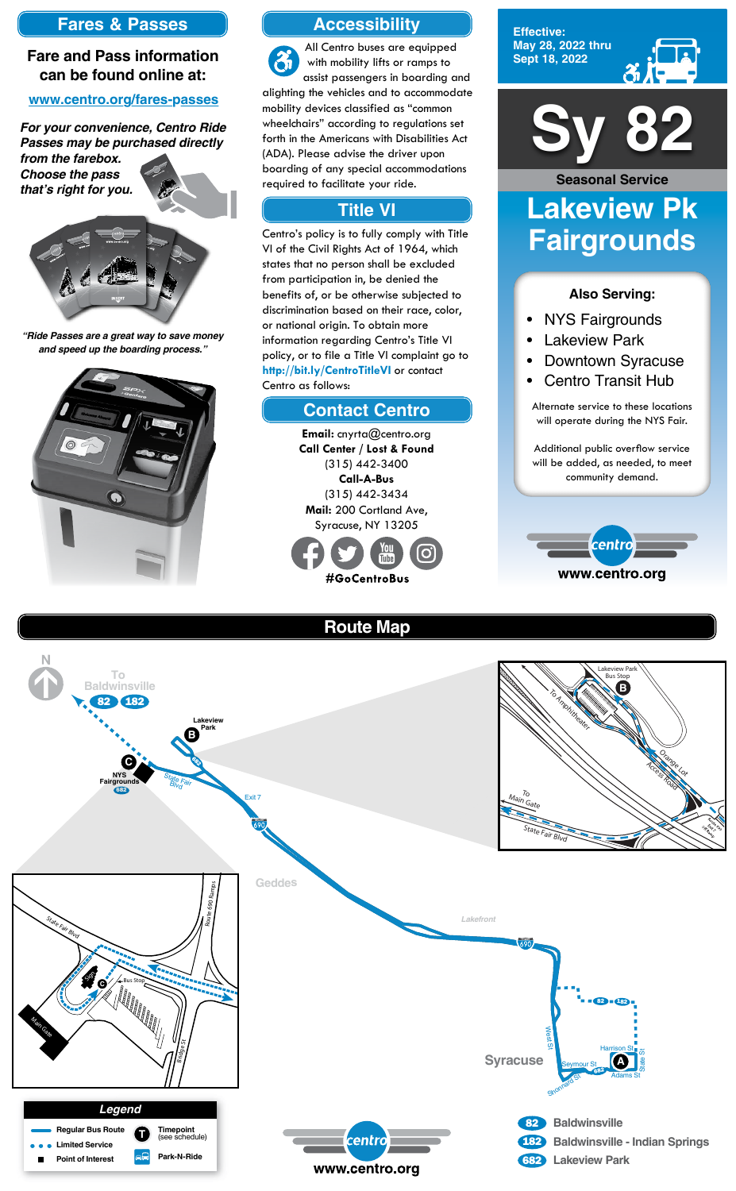

**Effective: May 28, 2022 thru Sept 18, 2022**



### **Also Serving:**

- NYS Fairgrounds
- **Lakeview Park**
- Downtown Syracuse
- Centro Transit Hub

# **Lakeview Pk Fairgrounds Seasonal Service**

Alternate service to these locations will operate during the NYS Fair.

Additional public overflow service will be added, as needed, to meet community demand.



# **Route Map**





# **Accessibility**

## **Contact Centro**

## **Title VI**

All Centro buses are equipped with mobility lifts or ramps to assist passengers in boarding and alighting the vehicles and to accommodate mobility devices classified as "common wheelchairs" according to regulations set forth in the Americans with Disabilities Act (ADA). Please advise the driver upon boarding of any special accommodations required to facilitate your ride.

Centro's policy is to fully comply with Title VI of the Civil Rights Act of 1964, which states that no person shall be excluded from participation in, be denied the benefits of, or be otherwise subjected to discrimination based on their race, color, or national origin. To obtain more information regarding Centro's Title VI policy, or to file a Title VI complaint go to **http://bit.ly/CentroTitleVI** or contact Centro as follows:

> **Email:** cnyrta@centro.org **Call Center / Lost & Found** (315) 442-3400 **Call-A-Bus** (315) 442-3434 **Mail:** 200 Cortland Ave, Syracuse, NY 13205



# **Fares & Passes**

## **Fare and Pass information can be found online at:**

### **www.centro.org/fares-passes**

*"Ride Passes are a great way to save money and speed up the boarding process."*



*For your convenience, Centro Ride Passes may be purchased directly* 

*from the farebox. Choose the pass that's right for you.*